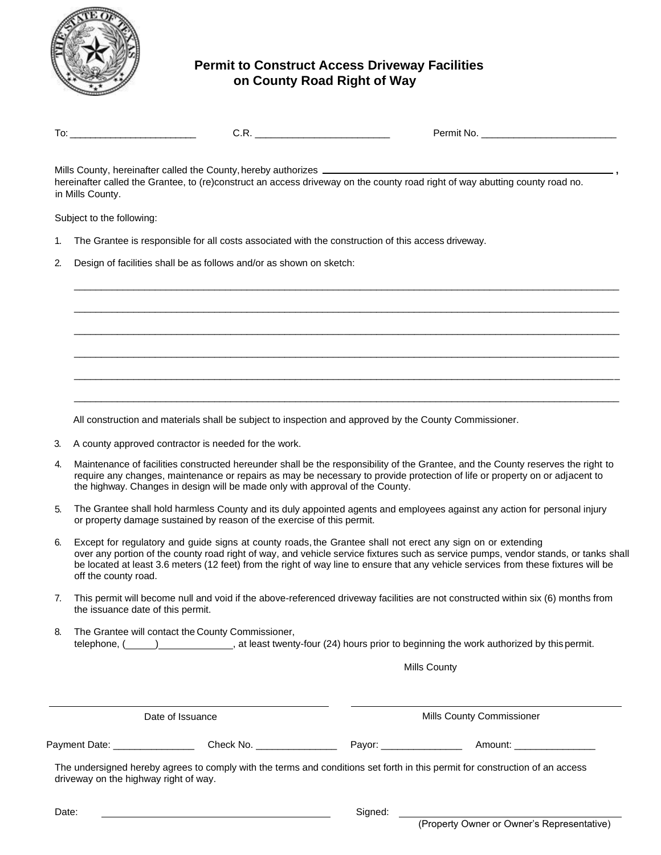

## **Permit to Construct Access Driveway Facilities on County Road Right of Way**

| ״∩י<br>IV. | $\sim$ | N0<br>. |
|------------|--------|---------|

\_\_\_\_\_\_\_\_\_\_\_\_\_\_\_\_\_\_\_\_\_\_\_\_\_\_\_\_\_\_\_\_\_\_\_\_\_\_\_\_\_\_\_\_\_\_\_\_\_\_\_\_\_\_\_\_\_\_\_\_\_\_\_\_\_\_\_\_\_\_\_\_\_\_\_\_\_\_\_\_\_\_\_\_\_\_\_\_\_\_\_\_\_\_\_\_\_\_\_\_\_

\_\_\_\_\_\_\_\_\_\_\_\_\_\_\_\_\_\_\_\_\_\_\_\_\_\_\_\_\_\_\_\_\_\_\_\_\_\_\_\_\_\_\_\_\_\_\_\_\_\_\_\_\_\_\_\_\_\_\_\_\_\_\_\_\_\_\_\_\_\_\_\_\_\_\_\_\_\_\_\_\_\_\_\_\_\_\_\_\_\_\_\_\_\_\_\_\_\_\_\_\_

\_\_\_\_\_\_\_\_\_\_\_\_\_\_\_\_\_\_\_\_\_\_\_\_\_\_\_\_\_\_\_\_\_\_\_\_\_\_\_\_\_\_\_\_\_\_\_\_\_\_\_\_\_\_\_\_\_\_\_\_\_\_\_\_\_\_\_\_\_\_\_\_\_\_\_\_\_\_\_\_\_\_\_\_\_\_\_\_\_\_\_\_\_\_\_\_\_\_\_\_\_

\_\_\_\_\_\_\_\_\_\_\_\_\_\_\_\_\_\_\_\_\_\_\_\_\_\_\_\_\_\_\_\_\_\_\_\_\_\_\_\_\_\_\_\_\_\_\_\_\_\_\_\_\_\_\_\_\_\_\_\_\_\_\_\_\_\_\_\_\_\_\_\_\_\_\_\_\_\_\_\_\_\_\_\_\_\_\_\_\_\_\_\_\_\_\_\_\_\_\_\_\_

\_\_\_\_\_\_\_\_\_\_\_\_\_\_\_\_\_\_\_\_\_\_\_\_\_\_\_\_\_\_\_\_\_\_\_\_\_\_\_\_\_\_\_\_\_\_\_\_\_\_\_\_\_\_\_\_\_\_\_\_\_\_\_\_\_\_\_\_\_\_\_\_\_\_\_\_\_\_\_\_\_\_\_\_\_\_\_\_\_\_\_\_\_\_\_\_\_\_\_\_\_

\_\_\_\_\_\_\_\_\_\_\_\_\_\_\_\_\_\_\_\_\_\_\_\_\_\_\_\_\_\_\_\_\_\_\_\_\_\_\_\_\_\_\_\_\_\_\_\_\_\_\_\_\_\_\_\_\_\_\_\_\_\_\_\_\_\_\_\_\_\_\_\_\_\_\_\_\_\_\_\_\_\_\_\_\_\_\_\_\_\_\_\_\_\_\_\_\_\_\_\_\_

Mills County, hereinafter called the County,hereby authorizes **,** hereinafter called the Grantee, to (re)construct an access driveway on the county road right of way abutting county road no. in Mills County.

Subject to the following:

- 1. The Grantee is responsible for all costs associated with the construction of this access driveway.
- 2. Design of facilities shall be as follows and/or as shown on sketch:

All construction and materials shall be subject to inspection and approved by the County Commissioner.

- 3. A county approved contractor is needed for the work.
- 4. Maintenance of facilities constructed hereunder shall be the responsibility of the Grantee, and the County reserves the right to require any changes, maintenance or repairs as may be necessary to provide protection of life or property on or adjacent to the highway. Changes in design will be made only with approval of the County.
- 5. The Grantee shall hold harmless County and its duly appointed agents and employees against any action for personal injury or property damage sustained by reason of the exercise of this permit.
- 6. Except for regulatory and guide signs at county roads, the Grantee shall not erect any sign on or extending over any portion of the county road right of way, and vehicle service fixtures such as service pumps, vendor stands, or tanks shall be located at least 3.6 meters (12 feet) from the right of way line to ensure that any vehicle services from these fixtures will be off the county road.
- 7. This permit will become null and void if the above-referenced driveway facilities are not constructed within six (6) months from the issuance date of this permit.
- 8. The Grantee will contact the County Commissioner, telephone, (  $\qquad)$ , at least twenty-four (24) hours prior to beginning the work authorized by this permit.

Mills County

|               | Date of Issuance | <b>Mills County Commissioner</b> |  |
|---------------|------------------|----------------------------------|--|
| Payment Date: | Check No.        | Pavor:<br>Amount:                |  |

The undersigned hereby agrees to comply with the terms and conditions set forth in this permit for construction of an access driveway on the highway right of way.